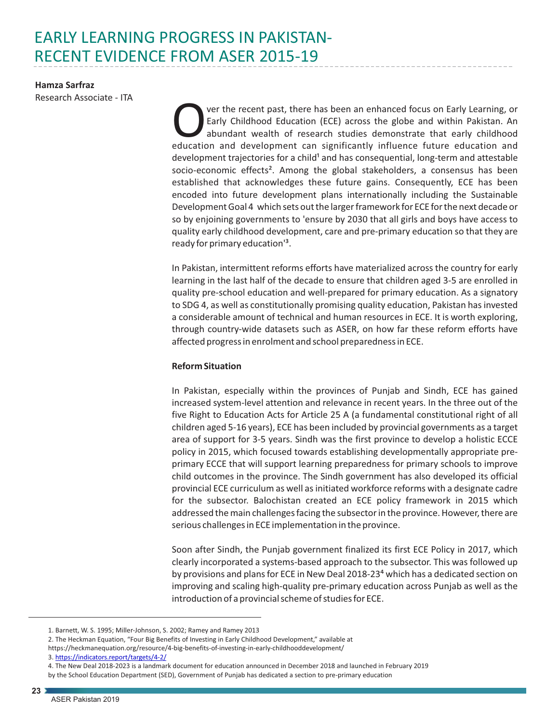# EARLY LEARNING PROGRESS IN PAKISTAN-RECENT EVIDENCE FROM ASER 2015-19

**Hamza Sarfraz**  Research Associate - ITA

Ver the recent past, there has been an enhanced focus on Early Learning, or<br>Early Childhood Education (ECE) across the globe and within Pakistan. An<br>abundant wealth of research studies demonstrate that early childhood<br>educ abundant wealth of research studies demonstrate that early childhood development trajectories for a child<sup>1</sup> and has consequential, long-term and attestable socio-economic effects<sup>2</sup>. Among the global stakeholders, a consensus has been established that acknowledges these future gains. Consequently, ECE has been encoded into future development plans internationally including the Sustainable Development Goal 4 which sets out the larger framework for ECE for the next decade or so by enjoining governments to 'ensure by 2030 that all girls and boys have access to quality early childhood development, care and pre-primary education so that they are ready for primary education<sup>13</sup>.

In Pakistan, intermittent reforms efforts have materialized across the country for early learning in the last half of the decade to ensure that children aged 3-5 are enrolled in quality pre-school education and well-prepared for primary education. As a signatory to SDG 4, as well as constitutionally promising quality education, Pakistan has invested a considerable amount of technical and human resources in ECE. It is worth exploring, through country-wide datasets such as ASER, on how far these reform efforts have affected progress in enrolment and school preparedness in ECE.

### **Reform Situation**

In Pakistan, especially within the provinces of Punjab and Sindh, ECE has gained increased system-level attention and relevance in recent years. In the three out of the five Right to Education Acts for Article 25 A (a fundamental constitutional right of all children aged 5-16 years), ECE has been included by provincial governments as a target area of support for 3-5 years. Sindh was the first province to develop a holistic ECCE policy in 2015, which focused towards establishing developmentally appropriate preprimary ECCE that will support learning preparedness for primary schools to improve child outcomes in the province. The Sindh government has also developed its official provincial ECE curriculum as well as initiated workforce reforms with a designate cadre for the subsector. Balochistan created an ECE policy framework in 2015 which addressed the main challenges facing the subsector in the province. However, there are serious challenges in ECE implementation in the province.

Soon after Sindh, the Punjab government finalized its first ECE Policy in 2017, which clearly incorporated a systems-based approach to the subsector. This was followed up by provisions and plans for ECE in New Deal 2018-23<sup>4</sup> which has a dedicated section on improving and scaling high-quality pre-primary education across Punjab as well as the introduction of a provincial scheme of studies for ECE.

https://heckmanequation.org/resource/4-big-benefits-of-investing-in-early-childhooddevelopment/

<sup>1.</sup> Barnett, W. S. 1995; Miller-Johnson, S. 2002; Ramey and Ramey 2013

<sup>2.</sup> The Heckman Equation, "Four Big Benefits of Investing in Early Childhood Development," available at

<sup>3.</sup><https://indicators.report/targets/4-2/>

<sup>4.</sup> The New Deal 2018-2023 is a landmark document for education announced in December 2018 and launched in February 2019

by the School Education Department (SED), Government of Punjab has dedicated a section to pre-primary education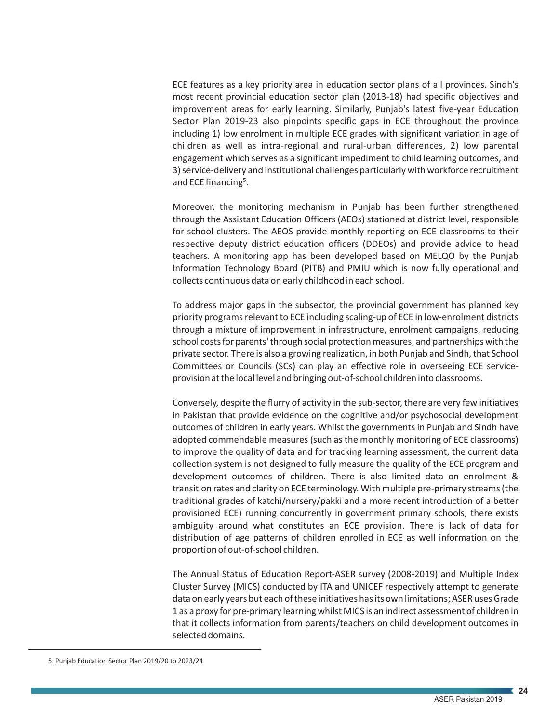ECE features as a key priority area in education sector plans of all provinces. Sindh's most recent provincial education sector plan (2013-18) had specific objectives and improvement areas for early learning. Similarly, Punjab's latest five-year Education Sector Plan 2019-23 also pinpoints specific gaps in ECE throughout the province including 1) low enrolment in multiple ECE grades with significant variation in age of children as well as intra-regional and rural-urban differences, 2) low parental engagement which serves as a significant impediment to child learning outcomes, and 3) service-delivery and institutional challenges particularly with workforce recruitment and ECE financing<sup>5</sup>.

Moreover, the monitoring mechanism in Punjab has been further strengthened through the Assistant Education Officers (AEOs) stationed at district level, responsible for school clusters. The AEOS provide monthly reporting on ECE classrooms to their respective deputy district education officers (DDEOs) and provide advice to head teachers. A monitoring app has been developed based on MELQO by the Punjab Information Technology Board (PITB) and PMIU which is now fully operational and collects continuous data on early childhood in each school.

To address major gaps in the subsector, the provincial government has planned key priority programs relevant to ECE including scaling-up of ECE in low-enrolment districts through a mixture of improvement in infrastructure, enrolment campaigns, reducing school costs for parents' through social protection measures, and partnerships with the private sector. There is also a growing realization, in both Punjab and Sindh, that School Committees or Councils (SCs) can play an effective role in overseeing ECE serviceprovision at the local level and bringing out-of-school children into classrooms.

Conversely, despite the flurry of activity in the sub-sector, there are very few initiatives in Pakistan that provide evidence on the cognitive and/or psychosocial development outcomes of children in early years. Whilst the governments in Punjab and Sindh have adopted commendable measures (such as the monthly monitoring of ECE classrooms) to improve the quality of data and for tracking learning assessment, the current data collection system is not designed to fully measure the quality of the ECE program and development outcomes of children. There is also limited data on enrolment & transition rates and clarity on ECE terminology. With multiple pre-primary streams (the traditional grades of katchi/nursery/pakki and a more recent introduction of a better provisioned ECE) running concurrently in government primary schools, there exists ambiguity around what constitutes an ECE provision. There is lack of data for distribution of age patterns of children enrolled in ECE as well information on the proportion of out-of-school children.

The Annual Status of Education Report-ASER survey (2008-2019) and Multiple Index Cluster Survey (MICS) conducted by ITA and UNICEF respectively attempt to generate data on early years but each of these initiatives has its own limitations; ASER uses Grade 1 as a proxy for pre-primary learning whilst MICS is an indirect assessment of children in that it collects information from parents/teachers on child development outcomes in selected domains.

<sup>5.</sup> Punjab Education Sector Plan 2019/20 to 2023/24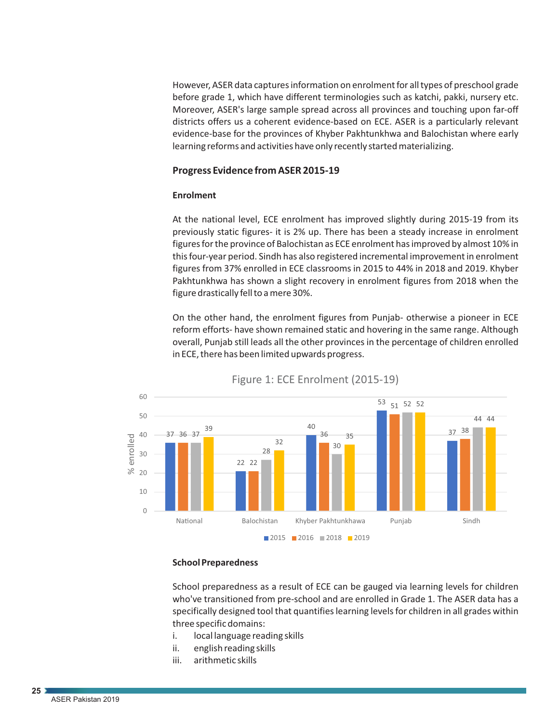However, ASER data captures information on enrolment for all types of preschool grade before grade 1, which have different terminologies such as katchi, pakki, nursery etc. Moreover, ASER's large sample spread across all provinces and touching upon far-off districts offers us a coherent evidence-based on ECE. ASER is a particularly relevant evidence-base for the provinces of Khyber Pakhtunkhwa and Balochistan where early learning reforms and activities have only recently started materializing.

## **Progress Evidence from ASER 2015-19**

#### **Enrolment**

At the national level, ECE enrolment has improved slightly during 2015-19 from its previously static figures- it is 2% up. There has been a steady increase in enrolment figures for the province of Balochistan as ECE enrolment has improved by almost 10% in this four-year period. Sindh has also registered incremental improvement in enrolment figures from 37% enrolled in ECE classrooms in 2015 to 44% in 2018 and 2019. Khyber Pakhtunkhwa has shown a slight recovery in enrolment figures from 2018 when the figure drastically fell to a mere 30%.

On the other hand, the enrolment figures from Punjab- otherwise a pioneer in ECE reform efforts- have shown remained static and hovering in the same range. Although overall, Punjab still leads all the other provinces in the percentage of children enrolled in ECE, there has been limited upwards progress.



Figure 1: ECE Enrolment (2015-19)

#### **School Preparedness**

School preparedness as a result of ECE can be gauged via learning levels for children who've transitioned from pre-school and are enrolled in Grade 1. The ASER data has a specifically designed tool that quantifies learning levels for children in all grades within three specific domains:

- i. local language reading skills
- ii. english reading skills
- iii. arithmetic skills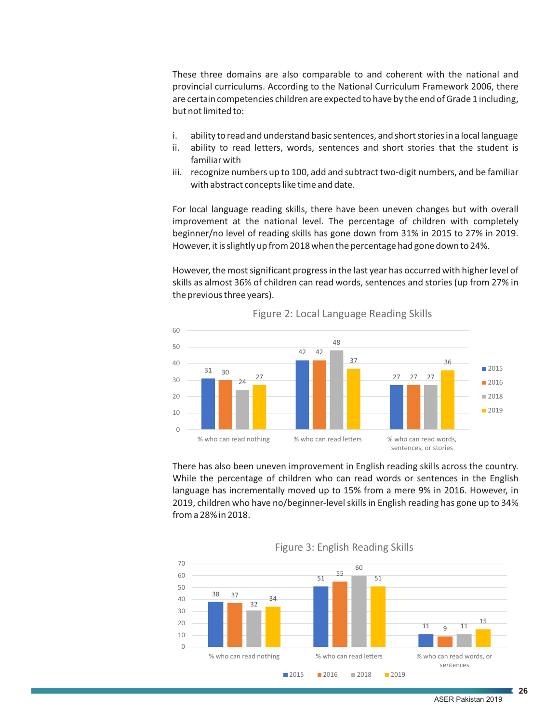These three domains are also comparable to and coherent with the national and provincial curriculums. According to the National Curriculum Framework 2006, there are certain competencies children are expected to have by the end of Grade 1 including, but not limited to:

- i. ability to read and understand basic sentences, and short stories in a local language
- ii. ability to read letters, words, sentences and short stories that the student is familiar with
- iii. recognize numbers up to 100, add and subtract two-digit numbers, and be familiar with abstract concepts like time and date.

For local language reading skills, there have been uneven changes but with overall improvement at the national level. The percentage of children with completely beginner/no level of reading skills has gone down from 31% in 2015 to 27% in 2019. However, it is slightly up from 2018 when the percentage had gone down to 24%.

However, the most significant progress in the last year has occurred with higher level of skills as almost 36% of children can read words, sentences and stories (up from 27% in the previous three years).



Figure 2: Local Language Reading Skills

There has also been uneven improvement in English reading skills across the country. While the percentage of children who can read words or sentences in the English language has incrementally moved up to 15% from a mere 9% in 2016. However, in 2019, children who have no/beginner-level skills in English reading has gone up to 34% from a 28% in 2018.



Figure 3: English Reading Skills